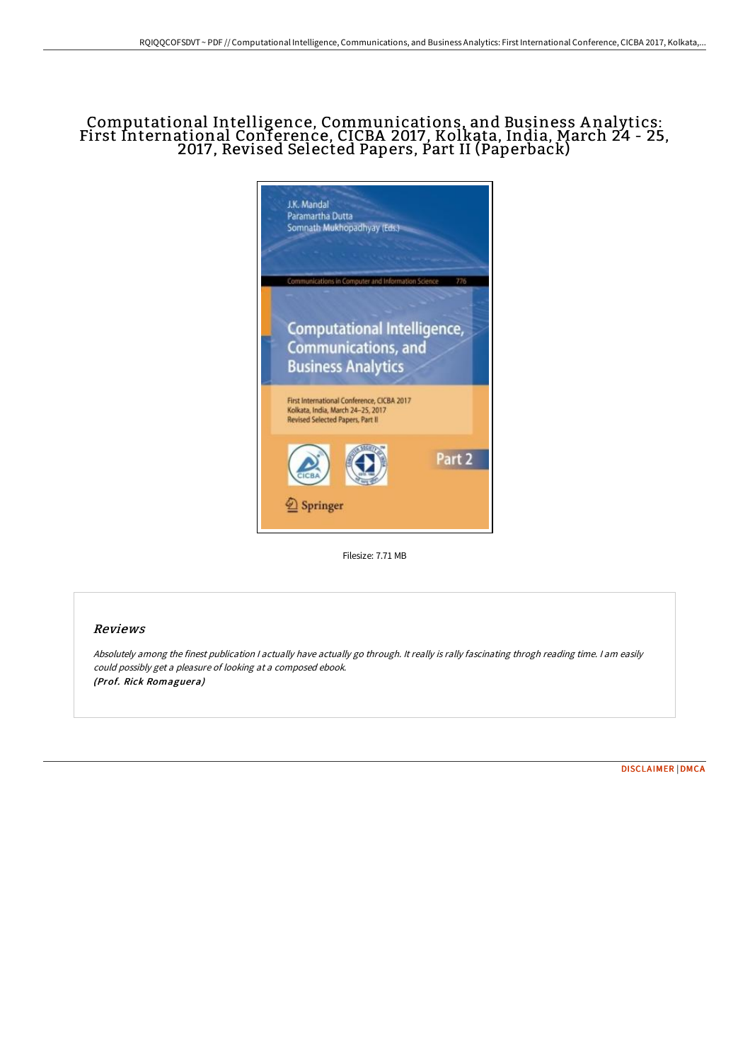## Computational Intelligence, Communications, and Business A nalytics: First International Conference, CICBA 2017, Kolkata, India, March 24 - 25, 2017, Revised Selected Papers, Part II (Paperback)



Filesize: 7.71 MB

# Reviews

Absolutely among the finest publication <sup>I</sup> actually have actually go through. It really is rally fascinating throgh reading time. <sup>I</sup> am easily could possibly get <sup>a</sup> pleasure of looking at <sup>a</sup> composed ebook. (Prof. Rick Romaguera)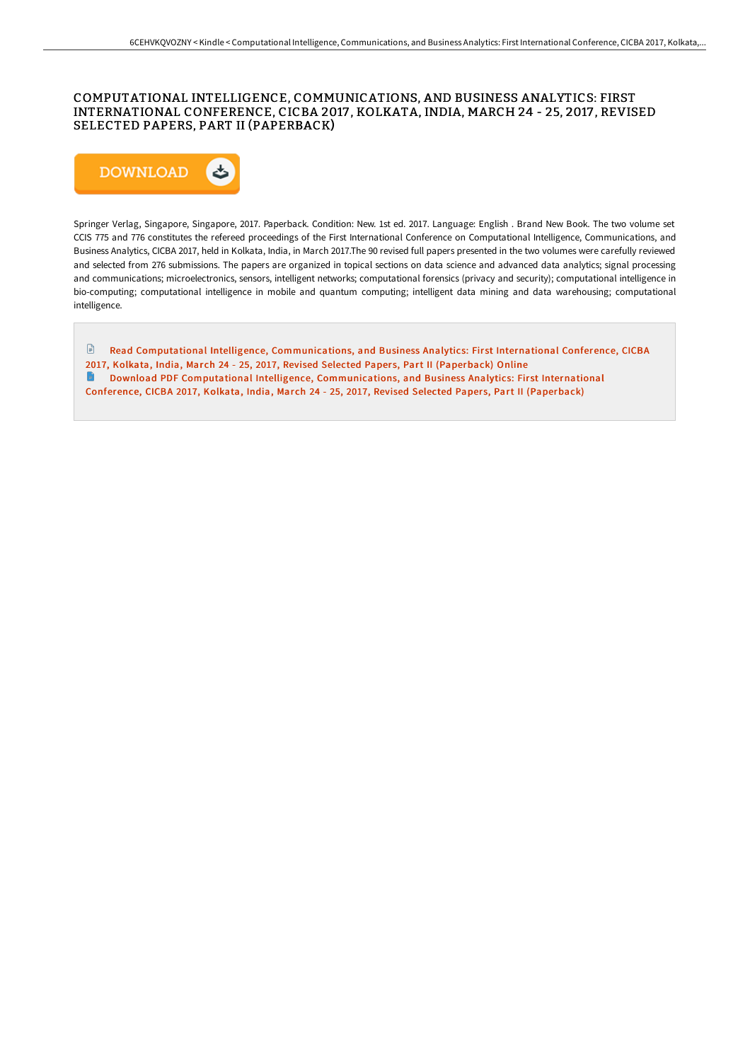### COMPUTATIONAL INTELLIGENCE, COMMUNICATIONS, AND BUSINESS ANALYTICS: FIRST INTERNATIONAL CONFERENCE, CICBA 2017 , KOLKATA, INDIA, MARCH 24 - 25, 2017 , REVISED SELECTED PAPERS, PART II (PAPERBACK)



Springer Verlag, Singapore, Singapore, 2017. Paperback. Condition: New. 1st ed. 2017. Language: English . Brand New Book. The two volume set CCIS 775 and 776 constitutes the refereed proceedings of the First International Conference on Computational Intelligence, Communications, and Business Analytics, CICBA 2017, held in Kolkata, India, in March 2017.The 90 revised full papers presented in the two volumes were carefully reviewed and selected from 276 submissions. The papers are organized in topical sections on data science and advanced data analytics; signal processing and communications; microelectronics, sensors, intelligent networks; computational forensics (privacy and security); computational intelligence in bio-computing; computational intelligence in mobile and quantum computing; intelligent data mining and data warehousing; computational intelligence.

 $\textcolor{red}{\Box}$ Read Computational Intelligence, [Communications,](http://techno-pub.tech/computational-intelligence-communications-and-bu-1.html) and Business Analytics: First International Conference, CICBA 2017, Kolkata, India, March 24 - 25, 2017, Revised Selected Papers, Part II (Paperback) Online  $\blacksquare$ Download PDF Computational Intelligence, [Communications,](http://techno-pub.tech/computational-intelligence-communications-and-bu-1.html) and Business Analytics: First International Conference, CICBA 2017, Kolkata, India, March 24 - 25, 2017, Revised Selected Papers, Part II (Paperback)